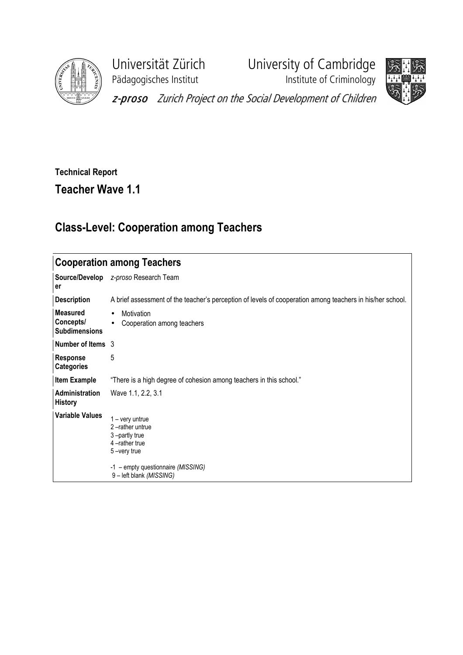

Pädagogisches Institut **Institute of Criminology** 

Universität Zürich University of Cambridge



z-proso Zurich Project on the Social Development of Children

## Technical Report Teacher Wave 1.1

## Class-Level: Cooperation among Teachers

| <b>Cooperation among Teachers</b>                    |                                                                                                                                                     |  |  |  |  |  |
|------------------------------------------------------|-----------------------------------------------------------------------------------------------------------------------------------------------------|--|--|--|--|--|
| Source/Develop<br>er                                 | z-proso Research Team                                                                                                                               |  |  |  |  |  |
| <b>Description</b>                                   | A brief assessment of the teacher's perception of levels of cooperation among teachers in his/her school.                                           |  |  |  |  |  |
| <b>Measured</b><br>Concepts/<br><b>Subdimensions</b> | Motivation<br>$\bullet$<br>Cooperation among teachers<br>$\bullet$                                                                                  |  |  |  |  |  |
| Number of Items 3                                    |                                                                                                                                                     |  |  |  |  |  |
| <b>Response</b><br><b>Categories</b>                 | 5                                                                                                                                                   |  |  |  |  |  |
| Item Example                                         | "There is a high degree of cohesion among teachers in this school."                                                                                 |  |  |  |  |  |
| Administration<br><b>History</b>                     | Wave 1.1, 2.2, 3.1                                                                                                                                  |  |  |  |  |  |
| Variable Values                                      | 1 – very untrue<br>2-rather untrue<br>3-partly true<br>4-rather true<br>5-very true<br>-1 - empty questionnaire (MISSING)<br>9-left blank (MISSING) |  |  |  |  |  |